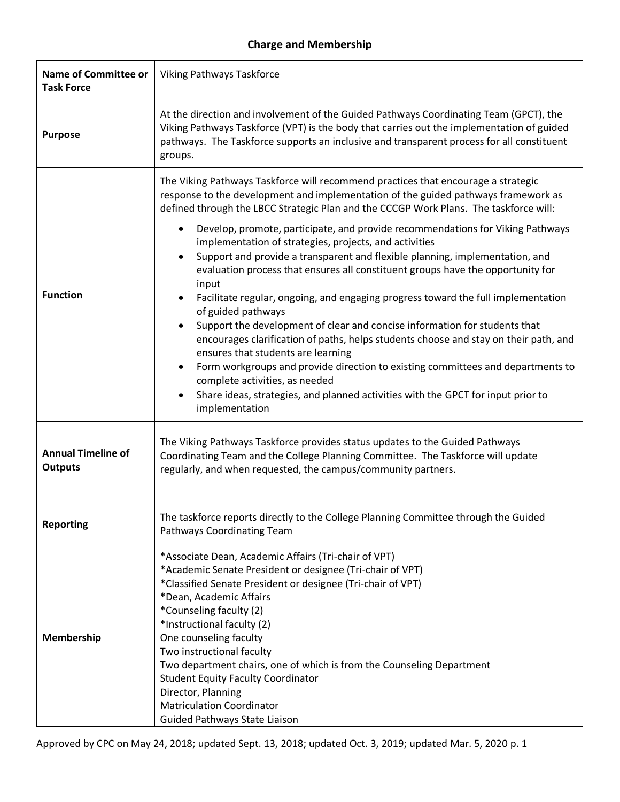## **Charge and Membership**

| <b>Name of Committee or</b><br><b>Task Force</b> | Viking Pathways Taskforce                                                                                                                                                                                                                                                                                                                                                                                                                                                                                                                                                                                                                                                                                                                                                                                                                                                                                                                                                                                                                                                                                                                               |
|--------------------------------------------------|---------------------------------------------------------------------------------------------------------------------------------------------------------------------------------------------------------------------------------------------------------------------------------------------------------------------------------------------------------------------------------------------------------------------------------------------------------------------------------------------------------------------------------------------------------------------------------------------------------------------------------------------------------------------------------------------------------------------------------------------------------------------------------------------------------------------------------------------------------------------------------------------------------------------------------------------------------------------------------------------------------------------------------------------------------------------------------------------------------------------------------------------------------|
| <b>Purpose</b>                                   | At the direction and involvement of the Guided Pathways Coordinating Team (GPCT), the<br>Viking Pathways Taskforce (VPT) is the body that carries out the implementation of guided<br>pathways. The Taskforce supports an inclusive and transparent process for all constituent<br>groups.                                                                                                                                                                                                                                                                                                                                                                                                                                                                                                                                                                                                                                                                                                                                                                                                                                                              |
| <b>Function</b>                                  | The Viking Pathways Taskforce will recommend practices that encourage a strategic<br>response to the development and implementation of the guided pathways framework as<br>defined through the LBCC Strategic Plan and the CCCGP Work Plans. The taskforce will:<br>Develop, promote, participate, and provide recommendations for Viking Pathways<br>implementation of strategies, projects, and activities<br>Support and provide a transparent and flexible planning, implementation, and<br>$\bullet$<br>evaluation process that ensures all constituent groups have the opportunity for<br>input<br>Facilitate regular, ongoing, and engaging progress toward the full implementation<br>of guided pathways<br>Support the development of clear and concise information for students that<br>encourages clarification of paths, helps students choose and stay on their path, and<br>ensures that students are learning<br>Form workgroups and provide direction to existing committees and departments to<br>complete activities, as needed<br>Share ideas, strategies, and planned activities with the GPCT for input prior to<br>implementation |
| <b>Annual Timeline of</b><br><b>Outputs</b>      | The Viking Pathways Taskforce provides status updates to the Guided Pathways<br>Coordinating Team and the College Planning Committee. The Taskforce will update<br>regularly, and when requested, the campus/community partners.                                                                                                                                                                                                                                                                                                                                                                                                                                                                                                                                                                                                                                                                                                                                                                                                                                                                                                                        |
| <b>Reporting</b>                                 | The taskforce reports directly to the College Planning Committee through the Guided<br>Pathways Coordinating Team                                                                                                                                                                                                                                                                                                                                                                                                                                                                                                                                                                                                                                                                                                                                                                                                                                                                                                                                                                                                                                       |
| Membership                                       | *Associate Dean, Academic Affairs (Tri-chair of VPT)<br>*Academic Senate President or designee (Tri-chair of VPT)<br>*Classified Senate President or designee (Tri-chair of VPT)<br>*Dean, Academic Affairs<br>*Counseling faculty (2)<br>*Instructional faculty (2)<br>One counseling faculty<br>Two instructional faculty<br>Two department chairs, one of which is from the Counseling Department<br><b>Student Equity Faculty Coordinator</b><br>Director, Planning<br><b>Matriculation Coordinator</b><br>Guided Pathways State Liaison                                                                                                                                                                                                                                                                                                                                                                                                                                                                                                                                                                                                            |